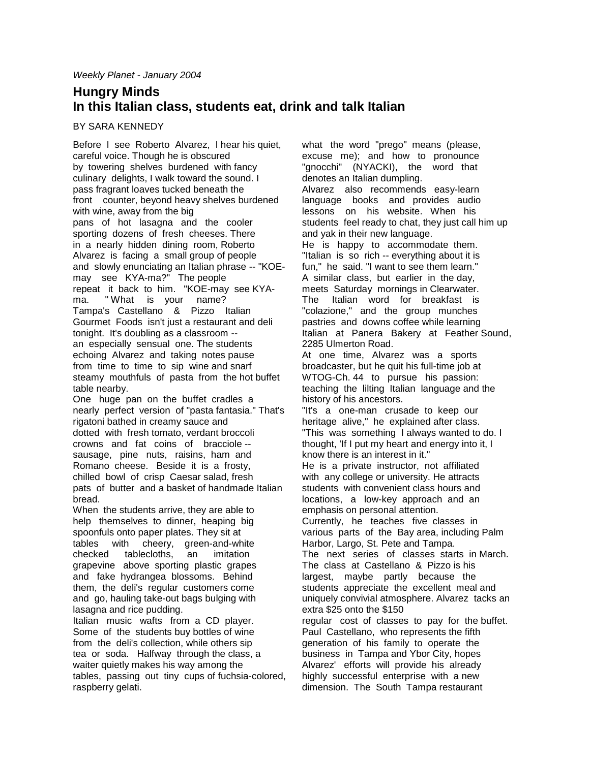## **Hungry Minds In this Italian class, students eat, drink and talk Italian**

## BY SARA KENNEDY

Before I see Roberto Alvarez, I hear his quiet, careful voice. Though he is obscured by towering shelves burdened with fancy culinary delights, I walk toward the sound. I pass fragrant loaves tucked beneath the front counter, beyond heavy shelves burdened with wine, away from the big pans of hot lasagna and the cooler sporting dozens of fresh cheeses. There in a nearly hidden dining room, Roberto Alvarez is facing a small group of people and slowly enunciating an Italian phrase -- "KOEmay see KYA-ma?" The people repeat it back to him. "KOE-may see KYAma. " What is your name? Tampa's Castellano & Pizzo Italian Gourmet Foods isn't just a restaurant and deli tonight. It's doubling as a classroom - an especially sensual one. The students echoing Alvarez and taking notes pause from time to time to sip wine and snarf steamy mouthfuls of pasta from the hot buffet table nearby. One huge pan on the buffet cradles a

nearly perfect version of "pasta fantasia." That's rigatoni bathed in creamy sauce and dotted with fresh tomato, verdant broccoli crowns and fat coins of bracciole - sausage, pine nuts, raisins, ham and Romano cheese. Beside it is a frosty, chilled bowl of crisp Caesar salad, fresh pats of butter and a basket of handmade Italian bread.

When the students arrive, they are able to help themselves to dinner, heaping big spoonfuls onto paper plates. They sit at tables with cheery, green-and-white checked tablecloths, an imitation grapevine above sporting plastic grapes and fake hydrangea blossoms. Behind them, the deli's regular customers come and go, hauling take-out bags bulging with lasagna and rice pudding.

Italian music wafts from a CD player. Some of the students buy bottles of wine from the deli's collection, while others sip tea or soda. Halfway through the class, a waiter quietly makes his way among the tables, passing out tiny cups of fuchsia-colored, raspberry gelati.

what the word "prego" means (please, excuse me); and how to pronounce "gnocchi" (NYACKI), the word that denotes an Italian dumpling. Alvarez also recommends easy-learn language books and provides audio lessons on his website. When his students feel ready to chat, they just call him up and yak in their new language. He is happy to accommodate them. "Italian is so rich -- everything about it is fun," he said. "I want to see them learn." A similar class, but earlier in the day, meets Saturday mornings in Clearwater. The Italian word for breakfast is "colazione," and the group munches pastries and downs coffee while learning Italian at Panera Bakery at Feather Sound, 2285 Ulmerton Road. At one time, Alvarez was a sports broadcaster, but he quit his full-time job at WTOG-Ch. 44 to pursue his passion: teaching the lilting Italian language and the history of his ancestors. "It's a one-man crusade to keep our heritage alive," he explained after class. "This was something I always wanted to do. I thought, 'If I put my heart and energy into it, I know there is an interest in it." He is a private instructor, not affiliated with any college or university. He attracts students with convenient class hours and locations, a low-key approach and an emphasis on personal attention. Currently, he teaches five classes in various parts of the Bay area, including Palm Harbor, Largo, St. Pete and Tampa. The next series of classes starts in March. The class at Castellano & Pizzo is his largest, maybe partly because the students appreciate the excellent meal and uniquely convivial atmosphere. Alvarez tacks an extra \$25 onto the \$150 regular cost of classes to pay for the buffet. Paul Castellano, who represents the fifth generation of his family to operate the business in Tampa and Ybor City, hopes Alvarez' efforts will provide his already highly successful enterprise with a new dimension. The South Tampa restaurant